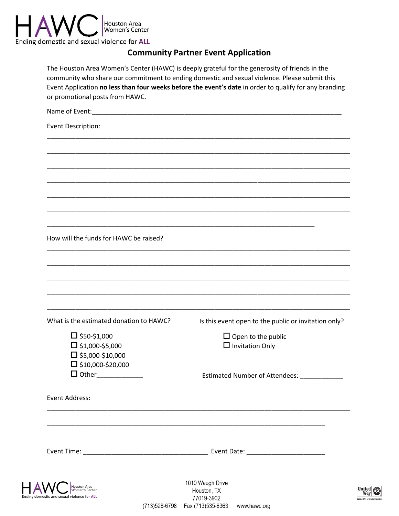

# **Community Partner Event Application**

| The Houston Area Women's Center (HAWC) is deeply grateful for the generosity of friends in the         |
|--------------------------------------------------------------------------------------------------------|
| community who share our commitment to ending domestic and sexual violence. Please submit this          |
| Event Application no less than four weeks before the event's date in order to qualify for any branding |
| or promotional posts from HAWC.                                                                        |

| Event Description:                      |                                                      |
|-----------------------------------------|------------------------------------------------------|
|                                         |                                                      |
|                                         |                                                      |
|                                         |                                                      |
|                                         |                                                      |
|                                         |                                                      |
|                                         |                                                      |
|                                         |                                                      |
| How will the funds for HAWC be raised?  |                                                      |
|                                         |                                                      |
|                                         |                                                      |
|                                         |                                                      |
|                                         |                                                      |
| What is the estimated donation to HAWC? | Is this event open to the public or invitation only? |
| $\Box$ \$50-\$1,000                     | $\Box$ Open to the public                            |
| $\square$ \$1,000-\$5,000               | $\Box$ Invitation Only                               |
| $\square$ \$5,000-\$10,000              |                                                      |
| $\square$ \$10,000-\$20,000             |                                                      |
| $\Box$ Other_____________               | Estimated Number of Attendees: ___________           |
| Event Address:                          |                                                      |
|                                         |                                                      |
|                                         |                                                      |
|                                         |                                                      |
| $\Lambda$ / $\Gamma$<br>Houston Area    | 1010 Waugh Drive                                     |



Houston, TX 77019-3902 (713) 528-6798 Fax (713) 535-6363 www.hawc.org

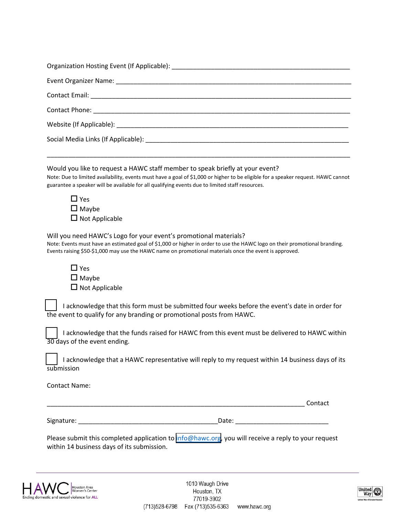| Event Organizer Name: Name and Contract Contract Contract Contract Contract Contract Contract Contract Contract Contract Contract Contract Contract Contract Contract Contract Contract Contract Contract Contract Contract Co                                                                                        |
|-----------------------------------------------------------------------------------------------------------------------------------------------------------------------------------------------------------------------------------------------------------------------------------------------------------------------|
|                                                                                                                                                                                                                                                                                                                       |
|                                                                                                                                                                                                                                                                                                                       |
| Website (If Applicable): Note that the set of the set of the set of the set of the set of the set of the set of the set of the set of the set of the set of the set of the set of the set of the set of the set of the set of                                                                                         |
|                                                                                                                                                                                                                                                                                                                       |
|                                                                                                                                                                                                                                                                                                                       |
| Would you like to request a HAWC staff member to speak briefly at your event?<br>Note: Due to limited availability, events must have a goal of \$1,000 or higher to be eligible for a speaker request. HAWC cannot<br>guarantee a speaker will be available for all qualifying events due to limited staff resources. |
| $\Box$ Yes<br>$\Box$ Maybe<br>$\Box$ Not Applicable                                                                                                                                                                                                                                                                   |
| Will you need HAWC's Logo for your event's promotional materials?<br>Note: Events must have an estimated goal of \$1,000 or higher in order to use the HAWC logo on their promotional branding.<br>Events raising \$50-\$1,000 may use the HAWC name on promotional materials once the event is approved.             |
| $\Box$ Yes<br>$\Box$ Maybe<br>$\Box$ Not Applicable                                                                                                                                                                                                                                                                   |
| I acknowledge that this form must be submitted four weeks before the event's date in order for<br>the event to qualify for any branding or promotional posts from HAWC.                                                                                                                                               |
| I acknowledge that the funds raised for HAWC from this event must be delivered to HAWC within<br>30 days of the event ending.                                                                                                                                                                                         |
| I acknowledge that a HAWC representative will reply to my request within 14 business days of its<br>submission                                                                                                                                                                                                        |
|                                                                                                                                                                                                                                                                                                                       |

Contact Name:

Signature: \_\_\_\_\_\_\_\_\_\_\_\_\_\_\_\_\_\_\_\_\_\_\_\_\_\_\_\_\_\_\_\_\_\_\_\_\_\_\_Date: \_\_\_\_\_\_\_\_\_\_\_\_\_\_\_\_\_\_\_\_\_\_\_\_\_\_

\_\_\_\_\_\_\_\_\_\_\_\_\_\_\_\_\_\_\_\_\_\_\_\_\_\_\_\_\_\_\_\_\_\_\_\_\_\_\_\_\_\_\_\_\_\_\_\_\_\_\_\_\_\_\_\_\_\_\_\_\_\_\_\_\_\_\_\_\_\_\_\_ Contact

Please submit this completed application to [info@hawc.org](mailto:info@hawc.org), you will receive a reply to your request within 14 business days of its submission.

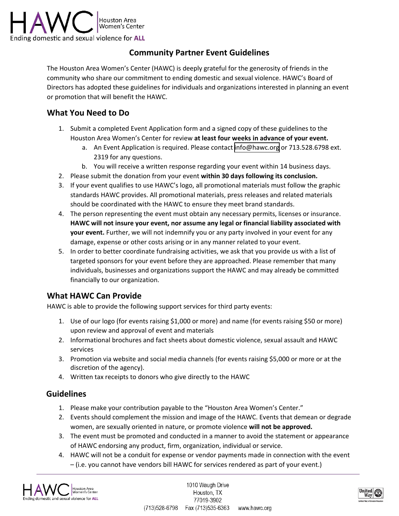

## **Community Partner Event Guidelines**

The Houston Area Women's Center (HAWC) is deeply grateful for the generosity of friends in the community who share our commitment to ending domestic and sexual violence. HAWC's Board of Directors has adopted these guidelines for individuals and organizations interested in planning an event or promotion that will benefit the HAWC.

## **What You Need to Do**

- 1. Submit a completed Event Application form and a signed copy of these guidelines to the Houston Area Women's Center for review **at least four weeks in advance of your event.**
	- a. An Event Application is required. Please contact [info@hawc.org](mailto:info@hawc.org) or 713.528.6798 ext. 2319 for any questions.
	- b. You will receive a written response regarding your event within 14 business days.
- 2. Please submit the donation from your event **within 30 days following its conclusion.**
- 3. If your event qualifies to use HAWC's logo, all promotional materials must follow the graphic standards HAWC provides. All promotional materials, press releases and related materials should be coordinated with the HAWC to ensure they meet brand standards.
- 4. The person representing the event must obtain any necessary permits, licenses or insurance. **HAWC will not insure your event, nor assume any legal or financial liability associated with your event.** Further, we will not indemnify you or any party involved in your event for any damage, expense or other costs arising or in any manner related to your event.
- 5. In order to better coordinate fundraising activities, we ask that you provide us with a list of targeted sponsors for your event before they are approached. Please remember that many individuals, businesses and organizations support the HAWC and may already be committed financially to our organization.

### **What HAWC Can Provide**

HAWC is able to provide the following support services for third party events:

- 1. Use of our logo (for events raising \$1,000 or more) and name (for events raising \$50 or more) upon review and approval of event and materials
- 2. Informational brochures and fact sheets about domestic violence, sexual assault and HAWC services
- 3. Promotion via website and social media channels (for events raising \$5,000 or more or at the discretion of the agency).
- 4. Written tax receipts to donors who give directly to the HAWC

### **Guidelines**

- 1. Please make your contribution payable to the "Houston Area Women's Center."
- 2. Events should complement the mission and image of the HAWC. Events that demean or degrade women, are sexually oriented in nature, or promote violence **will not be approved.**
- 3. The event must be promoted and conducted in a manner to avoid the statement or appearance of HAWC endorsing any product, firm, organization, individual or service.
- 4. HAWC will not be a conduit for expense or vendor payments made in connection with the event – (i.e. you cannot have vendors bill HAWC for services rendered as part of your event.)